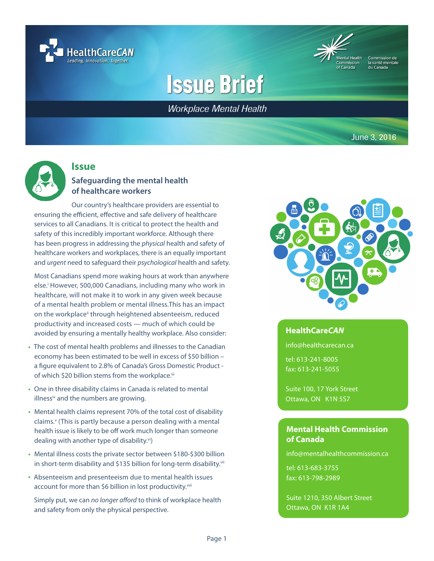



la santé mentale

# **Issue Brief**

**Workplace Mental Health** 

June 3, 2016



## **Issue**

## **Safeguarding the mental health of healthcare workers**

Our country's healthcare providers are essential to ensuring the efficient, effective and safe delivery of healthcare services to all Canadians. It is critical to protect the health and safety of this incredibly important workforce. Although there has been progress in addressing the *physical* health and safety of healthcare workers and workplaces, there is an equally important and *urgent* need to safeguard their *psychological* health and safety.

Most Canadians spend more waking hours at work than anywhere else.<sup>i</sup> However, 500,000 Canadians, including many who work in healthcare, will not make it to work in any given week because of a mental health problem or mental illness.This has an impact on the workplace<sup>ii</sup> through heightened absenteeism, reduced productivity and increased costs — much of which could be avoided by ensuring a mentally healthy workplace. Also consider:

- The cost of mental health problems and illnesses to the Canadian economy has been estimated to be well in excess of \$50 billion – a figure equivalent to 2.8% of Canada's Gross Domestic Product of which \$20 billion stems from the workplace.<sup>iii</sup>
- One in three disability claims in Canada is related to mental illness<sup>iv</sup> and the numbers are growing.
- Mental health claims represent 70% of the total cost of disability claims.<sup>v</sup> (This is partly because a person dealing with a mental health issue is likely to be off work much longer than someone dealing with another type of disability.vi)
- Mental illness costs the private sector between \$180-\$300 billion in short-term disability and \$135 billion for long-term disability.<sup>vii</sup>
- Absenteeism and presenteeism due to mental health issues account for more than \$6 billion in lost productivity.<sup>viii</sup>

Simply put, we can *no longer afford* to think of workplace health and safety from only the physical perspective.



#### **HealthCare***CAN*

info@healthcarecan.ca

tel: 613-241-8005 fax: 613-241-5055

Suite 100, 17 York Street Ottawa, ON K1N 5S7

#### **Mental Health Commission of Canada**

info@mentalhealthcommission.ca

tel: 613-683-3755 fax: 613-798-2989

Suite 1210, 350 Albert Street Ottawa, ON K1R 1A4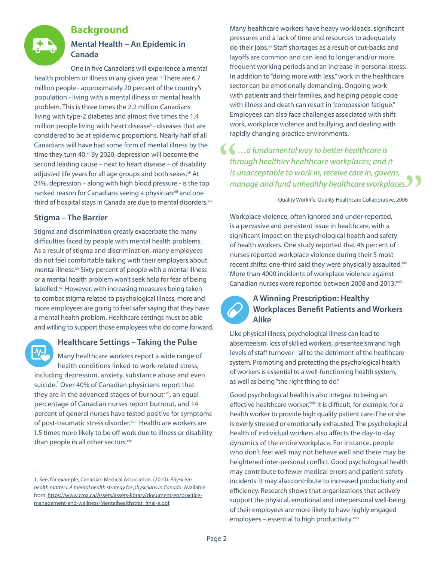

## **Background**

## **Mental Health – An Epidemic in Canada**

One in five Canadians will experience a mental health problem or illness in any given year.<sup>ix</sup> There are 6.7 million people - approximately 20 percent of the country's population - living with a mental illness or mental health problem. This is three times the 2.2 million Canadians living with type-2 diabetes and almost five times the 1.4 million people living with heart disease<sup>x</sup> - diseases that are considered to be at epidemic proportions. Nearly half of all Canadians will have had some form of mental illness by the time they turn 40.<sup>xi</sup> By 2020, depression will become the second leading cause – next to heart disease – of disability adjusted life years for all age groups and both sexes.<sup>xii</sup> At 24%, depression – along with high blood pressure - is the top ranked reason for Canadians seeing a physician<sup>xiii</sup> and one third of hospital stays in Canada are due to mental disorders. Xiv

## **Stigma – The Barrier**

Stigma and discrimination greatly exacerbate the many difficulties faced by people with mental health problems. As a result of stigma and discrimination, many employees do not feel comfortable talking with their employers about mental illness.<sup>xv</sup> Sixty percent of people with a mental illness or a mental health problem won't seek help for fear of being labelled.<sup>xvi</sup> However, with increasing measures being taken to combat stigma related to psychological illness, more and more employees are going to feel safer saying that they have a mental health problem. Healthcare settings must be able and willing to support those employees who do come forward.

## **Healthcare Settings – Taking the Pulse**

Many healthcare workers report a wide range of health conditions linked to work-related stress, including depression, anxiety, substance abuse and even suicide.<sup>1</sup> Over 40% of Canadian physicians report that they are in the advanced stages of burnout<sup>xvii</sup>, an equal percentage of Canadian nurses report burnout, and 14 percent of general nurses have tested positive for symptoms of post-traumatic stress disorder.<sup>xviii</sup> Healthcare workers are 1.5 times more likely to be off work due to illness or disability than people in all other sectors. xix

Many healthcare workers have heavy workloads, significant pressures and a lack of time and resources to adequately do their jobs.<sup>xx</sup> Staff shortages as a result of cut-backs and layoffs are common and can lead to longer and/or more frequent working periods and an increase in personal stress. In addition to "doing more with less," work in the healthcare sector can be emotionally demanding. Ongoing work with patients and their families, and helping people cope with illness and death can result in "compassion fatigue." Employees can also face challenges associated with shift work, workplace violence and bullying, and dealing with rapidly changing practice environments.

## **1...** a fundamental way to better healthcare is<br>through healthier healthcare workplaces; and is<br>is unacceptable to work in, receive care in, gove<br>manage and fund unhealthy healthcare workpl *through healthier healthcare workplaces; and it is unacceptable to work in, receive care in, govern, manage and fund unhealthy healthcare workplaces.*  $\begin{array}{c} 5.5 \ 06 \end{array}$

- Quality Worklife-Quality Healthcare Collaborative, 2006

Workplace violence, often ignored and under-reported, is a pervasive and persistent issue in healthcare, with a significant impact on the psychological health and safety of health workers. One study reported that 46 percent of nurses reported workplace violence during their 5 most recent shifts; one-third said they were physically assaulted.xxi More than 4000 incidents of workplace violence against Canadian nurses were reported between 2008 and 2013.xxii

## **A Winning Prescription: Healthy Workplaces Benefit Patients and Workers Alike**

Like physical illness, psychological illness can lead to absenteeism, loss of skilled workers, presenteeism and high levels of staff turnover - all to the detriment of the healthcare system. Promoting and protecting the psychological health of workers is essential to a well-functioning health system, as well as being "the right thing to do."

Good psychological health is also integral to being an effective healthcare worker.<sup>xxiii</sup> It is difficult, for example, for a health worker to provide high quality patient care if he or she is overly stressed or emotionally exhausted. The psychological health of individual workers also affects the day-to-day dynamics of the entire workplace. For instance, people who don't feel well may not behave well and there may be heightened inter-personal conflict. Good psychological health may contribute to fewer medical errors and patient-safety incidents. It may also contribute to increased productivity and efficiency. Research shows that organizations that actively support the physical, emotional and interpersonal well-being of their employees are more likely to have highly engaged employees – essential to high productivity. $x_{xiv}$ 

<sup>1.</sup> See, for example, Canadian Medical Association. (2010). *Physician health matters: A mental health strategy for physicians in Canada*. Available from: [https://www.cma.ca/Assets/assets-library/document/en/practice](https://www.cma.ca/Assets/assets-library/document/en/practice-management-and-wellness/Mentalhealthstrat_final-e.pdf)[management-and-wellness/Mentalhealthstrat\\_final-e.pdf](https://www.cma.ca/Assets/assets-library/document/en/practice-management-and-wellness/Mentalhealthstrat_final-e.pdf)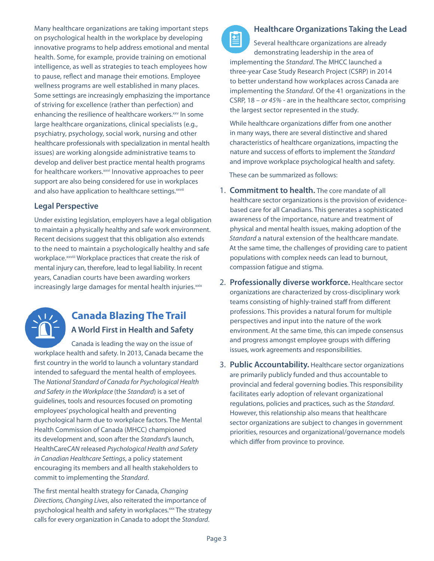Many healthcare organizations are taking important steps on psychological health in the workplace by developing innovative programs to help address emotional and mental health. Some, for example, provide training on emotional intelligence, as well as strategies to teach employees how to pause, reflect and manage their emotions. Employee wellness programs are well established in many places. Some settings are increasingly emphasizing the importance of striving for excellence (rather than perfection) and enhancing the resilience of healthcare workers.<sup>xxv</sup> In some large healthcare organizations, clinical specialists (e.g., psychiatry, psychology, social work, nursing and other healthcare professionals with specialization in mental health issues) are working alongside administrative teams to develop and deliver best practice mental health programs for healthcare workers. *xxvi* Innovative approaches to peer support are also being considered for use in workplaces and also have application to healthcare settings. XXVII

## **Legal Perspective**

Under existing legislation, employers have a legal obligation to maintain a physically healthy and safe work environment. Recent decisions suggest that this obligation also extends to the need to maintain a psychologically healthy and safe workplace.<sup>xxviii</sup> Workplace practices that create the risk of mental injury can, therefore, lead to legal liability. In recent years, Canadian courts have been awarding workers increasingly large damages for mental health injuries.<sup>xxix</sup>



## **Canada Blazing The Trail A World First in Health and Safety**

Canada is leading the way on the issue of workplace health and safety. In 2013, Canada became the first country in the world to launch a voluntary standard intended to safeguard the mental health of employees. The *National Standard of Canada for Psychological Health and Safety in the Workplace* (the *Standard*) is a set of guidelines, tools and resources focused on promoting employees' psychological health and preventing psychological harm due to workplace factors. The Mental Health Commission of Canada (MHCC) championed its development and, soon after the *Standard*'s launch, HealthCare*CAN* released *Psychological Health and Safety in Canadian Healthcare Settings*, a policy statement encouraging its members and all health stakeholders to commit to implementing the *Standard*.

The first mental health strategy for Canada, *Changing Directions, Changing Lives*, also reiterated the importance of psychological health and safety in workplaces.<sup>xxx</sup> The strategy calls for every organization in Canada to adopt the *Standard*.



曽 Several healthcare organizations are already demonstrating leadership in the area of implementing the *Standard*. The MHCC launched a three-year Case Study Research Project (CSRP) in 2014 to better understand how workplaces across Canada are implementing the *Standard*. Of the 41 organizations in the CSRP, 18 – *or 45%* - are in the healthcare sector, comprising the largest sector represented in the study.

While healthcare organizations differ from one another in many ways, there are several distinctive and shared characteristics of healthcare organizations, impacting the nature and success of efforts to implement the *Standard* and improve workplace psychological health and safety.

These can be summarized as follows:

- 1. **Commitment to health.** The core mandate of all healthcare sector organizations is the provision of evidencebased care for all Canadians. This generates a sophisticated awareness of the importance, nature and treatment of physical and mental health issues, making adoption of the *Standard* a natural extension of the healthcare mandate. At the same time, the challenges of providing care to patient populations with complex needs can lead to burnout, compassion fatigue and stigma.
- 2. **Professionally diverse workforce.** Healthcare sector organizations are characterized by cross-disciplinary work teams consisting of highly-trained staff from different professions. This provides a natural forum for multiple perspectives and input into the nature of the work environment. At the same time, this can impede consensus and progress amongst employee groups with differing issues, work agreements and responsibilities.
- 3. **Public Accountability.** Healthcare sector organizations are primarily publicly funded and thus accountable to provincial and federal governing bodies. This responsibility facilitates early adoption of relevant organizational regulations, policies and practices, such as the *Standard*. However, this relationship also means that healthcare sector organizations are subject to changes in government priorities, resources and organizational/governance models which differ from province to province.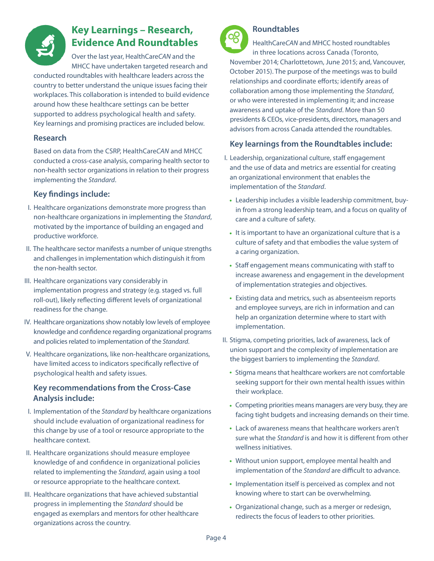

## **Key Learnings – Research, Evidence And Roundtables**

Over the last year, HealthCare*CAN* and the MHCC have undertaken targeted research and

conducted roundtables with healthcare leaders across the country to better understand the unique issues facing their workplaces. This collaboration is intended to build evidence around how these healthcare settings can be better supported to address psychological health and safety. Key learnings and promising practices are included below.

#### **Research**

Based on data from the CSRP, HealthCare*CAN* and MHCC conducted a cross-case analysis, comparing health sector to non-health sector organizations in relation to their progress implementing the *Standard*.

## **Key findings include:**

- Healthcare organizations demonstrate more progress than I. non-healthcare organizations in implementing the *Standard*, motivated by the importance of building an engaged and productive workforce.
- II. The healthcare sector manifests a number of unique strengths and challenges in implementation which distinguish it from the non-health sector.
- III. Healthcare organizations vary considerably in implementation progress and strategy (e.g. staged vs. full roll-out), likely reflecting different levels of organizational readiness for the change.
- IV. Healthcare organizations show notably low levels of employee knowledge and confidence regarding organizational programs and policies related to implementation of the *Standard*.
- V. Healthcare organizations, like non-healthcare organizations, have limited access to indicators specifically reflective of psychological health and safety issues.

## **Key recommendations from the Cross-Case Analysis include:**

- I. Implementation of the *Standard* by healthcare organizations should include evaluation of organizational readiness for this change by use of a tool or resource appropriate to the healthcare context.
- II. Healthcare organizations should measure employee knowledge of and confidence in organizational policies related to implementing the *Standard*, again using a tool or resource appropriate to the healthcare context.
- III. Healthcare organizations that have achieved substantial progress in implementing the *Standard* should be engaged as exemplars and mentors for other healthcare organizations across the country.



## **Roundtables**

HealthCare*CAN* and MHCC hosted roundtables in three locations across Canada (Toronto, November 2014; Charlottetown, June 2015; and, Vancouver, October 2015). The purpose of the meetings was to build relationships and coordinate efforts; identify areas of collaboration among those implementing the *Standard*, or who were interested in implementing it; and increase awareness and uptake of the *Standard*. More than 50 presidents & CEOs, vice-presidents, directors, managers and advisors from across Canada attended the roundtables.

## **Key learnings from the Roundtables include:**

- Leadership, organizational culture, staff engagement I. and the use of data and metrics are essential for creating an organizational environment that enables the implementation of the *Standard*.
	- Leadership includes a visible leadership commitment, buyin from a strong leadership team, and a focus on quality of care and a culture of safety.
	- It is important to have an organizational culture that is a culture of safety and that embodies the value system of a caring organization.
	- Staff engagement means communicating with staff to increase awareness and engagement in the development of implementation strategies and objectives.
	- Existing data and metrics, such as absenteeism reports and employee surveys, are rich in information and can help an organization determine where to start with implementation.
- II. Stigma, competing priorities, lack of awareness, lack of union support and the complexity of implementation are the biggest barriers to implementing the *Standard*.
	- Stigma means that healthcare workers are not comfortable seeking support for their own mental health issues within their workplace.
	- Competing priorities means managers are very busy, they are facing tight budgets and increasing demands on their time.
	- Lack of awareness means that healthcare workers aren't sure what the *Standard* is and how it is different from other wellness initiatives.
	- Without union support, employee mental health and implementation of the *Standard* are difficult to advance.
	- Implementation itself is perceived as complex and not knowing where to start can be overwhelming.
	- Organizational change, such as a merger or redesign, redirects the focus of leaders to other priorities.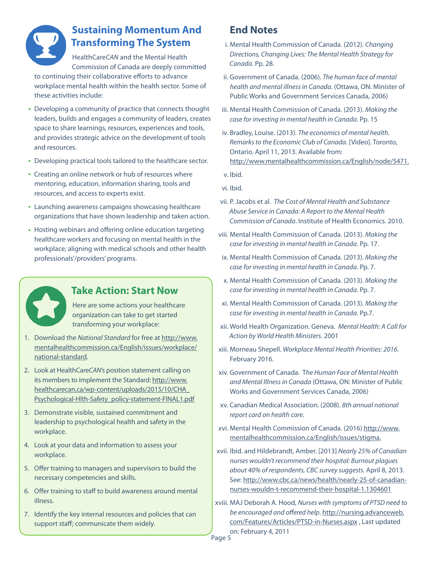

## **Sustaining Momentum And Transforming The System**

HealthCare*CAN* and the Mental Health Commission of Canada are deeply committed to continuing their collaborative efforts to advance workplace mental health within the health sector. Some of these activities include:

- Developing a community of practice that connects thought leaders, builds and engages a community of leaders, creates space to share learnings, resources, experiences and tools, and provides strategic advice on the development of tools and resources.
- Developing practical tools tailored to the healthcare sector.
- Creating an online network or hub of resources where mentoring, education, information sharing, tools and resources, and access to experts exist.
- Launching awareness campaigns showcasing healthcare organizations that have shown leadership and taken action.
- Hosting webinars and offering online education targeting healthcare workers and focusing on mental health in the workplace; aligning with medical schools and other health professionals'/providers' programs.



## **Take Action: Start Now**

Here are some actions your healthcare organization can take to get started transforming your workplace:

- 1. Download the *National Standard* for free at [http://www.](http://www.mentalhealthcommission.ca/English/issues/workplace/national-standard) [mentalhealthcommission.ca/English/issues/workplace/](http://www.mentalhealthcommission.ca/English/issues/workplace/national-standard) [national-standard.](http://www.mentalhealthcommission.ca/English/issues/workplace/national-standard)
- 2. Look at HealthCareCAN's position statement calling on its members to implement the Standard: [http://www.](http://www.healthcarecan.ca/wp-content/uploads/2015/10/CHA_Psychological-Hlth-Safety_policy-statement-FINAL1.pdf) [healthcarecan.ca/wp-content/uploads/2015/10/CHA\\_](http://www.healthcarecan.ca/wp-content/uploads/2015/10/CHA_Psychological-Hlth-Safety_policy-statement-FINAL1.pdf) [Psychological-Hlth-Safety\\_policy-statement-FINAL1.pdf](http://www.healthcarecan.ca/wp-content/uploads/2015/10/CHA_Psychological-Hlth-Safety_policy-statement-FINAL1.pdf)
- 3. Demonstrate visible, sustained commitment and leadership to psychological health and safety in the workplace.
- 4. Look at your data and information to assess your workplace.
- 5. Offer training to managers and supervisors to build the necessary competencies and skills.
- 6. Offer training to staff to build awareness around mental illness.
- 7. Identify the key internal resources and policies that can support staff; communicate them widely.

## **End Notes**

- Mental Health Commission of Canada. (2012). *Changing*  i. *Directions, Changing Lives: The Mental Health Strategy for Canada*. Pp. 28.
- ii. Government of Canada. (2006). The human face of mental *health and mental illness in Canada*. (Ottawa, ON: Minister of Public Works and Government Services Canada, 2006)
- iii. Mental Health Commission of Canada. (2013). Making the *case for investing in mental health in Canada*. Pp. 15
- iv. Bradley, Louise. (2013). The economics of mental health. *Remarks to the Economic Club of Canada*. [Video]. Toronto, Ontario. April 11, 2013. Available from: [http://www.mentalhealthcommission.ca/English/node/5471.](http://www.mentalhealthcommission.ca/English/node/5471.  )
- v. Ibid.
- vi. Ibid.
- vii. P. Jacobs et al. The Cost of Mental Health and Substance *Abuse Service in Canada: A Report to the Mental Health Commission of Canada*. Institute of Health Economics. 2010.
- viii. Mental Health Commission of Canada. (2013). Making the *case for investing in mental health in Canada*. Pp. 17.
- ix. Mental Health Commission of Canada. (2013). Making the *case for investing in mental health in Canada*. Pp. 7.
- Mental Health Commission of Canada. (2013). *Making the*  x. *case for investing in mental health in Canada*. Pp. 7.
- Mental Health Commission of Canada. (2013). *Making the*  xi. *case for investing in mental health in Canada*. Pp.7.
- World Health Organization. Geneva. *Mental Health: A Call for*  xii. *Action by World Health Ministers*. 2001
- Morneau Shepell. *Workplace Mental Health Priorities: 2016*. xiii. February 2016.
- Government of Canada. T*he Human Face of Mental Health*  xiv. *and Mental Illness in Canada* (Ottawa, ON: Minister of Public Works and Government Services Canada, 2006)
- Canadian Medical Association. (2008). *8th annual national*  xv. *report card on health care*.
- xvi. Mental Health Commission of Canada. (2016) [http://www.](http://www.mentalhealthcommission.ca/English/issues/stigma.) [mentalhealthcommission.ca/English/issues/stigma.](http://www.mentalhealthcommission.ca/English/issues/stigma.)
- Ibid. and Hildebrandt, Amber. [2013] *Nearly 25% of Canadian*  xvii. *nurses wouldn't recommend their hospital: Burnout plagues about 40% of respondents, CBC survey suggests.* April 8, 2013. See: [http://www.cbc.ca/news/health/nearly-25-of-canadian](http://www.cbc.ca/news/health/nearly-25-of-canadian-nurses-wouldn-t-recommend-their-hospital-1.1304601)[nurses-wouldn-t-recommend-their-hospital-1.1304601](http://www.cbc.ca/news/health/nearly-25-of-canadian-nurses-wouldn-t-recommend-their-hospital-1.1304601)
- MAJ Deborah A. Hood, *Nurses with symptoms of PTSD need to*  xviii. *be encouraged and offered help*. [http://nursing.advanceweb.](http://nursing.advanceweb.com/Features/Articles/PTSD-in-Nurses.aspx) [com/Features/Articles/PTSD-in-Nurses.aspx](http://nursing.advanceweb.com/Features/Articles/PTSD-in-Nurses.aspx) , Last updated on: February 4, 2011